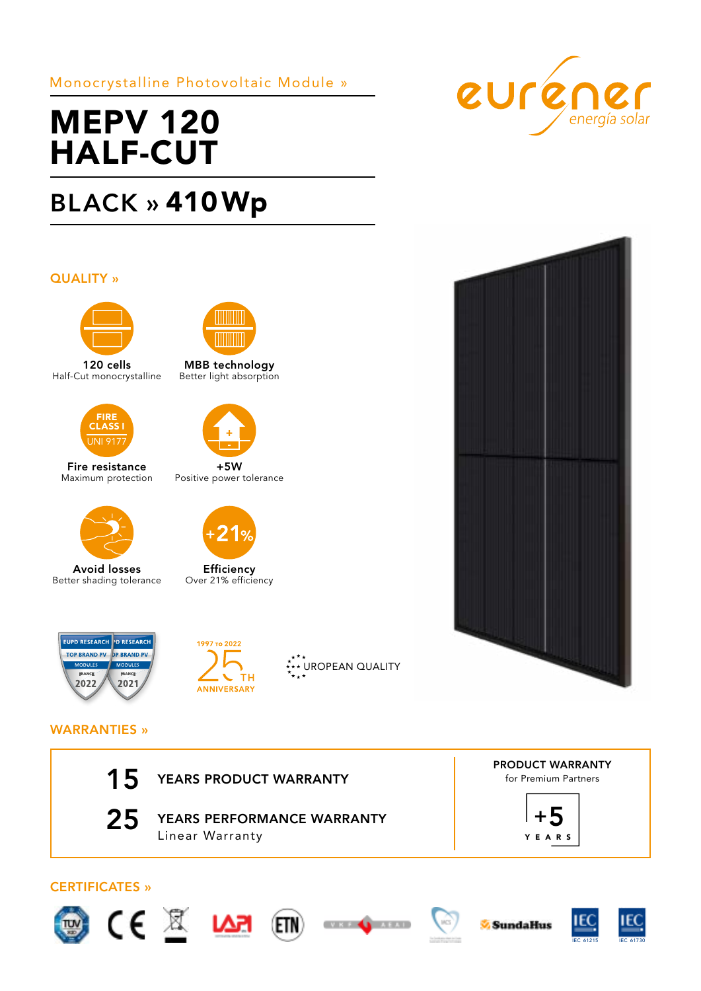# Monocrystalline Photovoltaic Module »

# MEPV 120 HALF-CUT

# BLACK » 410Wp

## QUALITY »



120 cells Half-Cut monocrystalline



Fire resistance Maximum protection



Avoid losses Better shading tolerance



MBB technology Better light absorption



Positive power tolerance



Efficiency Over 21% efficiency





\*\*\*\* UROPEAN QUALITY





## WARRANTIES »





25 YEARS PERFORMANCE WARRANTY Linear Warranty

for Premium Partners PRODUCT WARRANTY